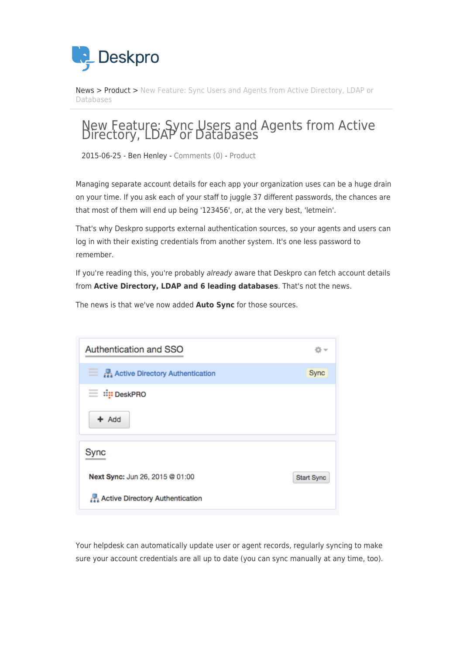

[News](https://support.deskpro.com/ro/news) > [Product](https://support.deskpro.com/ro/news/product) > [New Feature: Sync Users and Agents from Active Directory, LDAP or](https://support.deskpro.com/ro/news/posts/new-feature-sync-users-and-agents-from-active-directory-ldap-or-databases) [Databases](https://support.deskpro.com/ro/news/posts/new-feature-sync-users-and-agents-from-active-directory-ldap-or-databases)

## New Feature: Sync Users and Agents from Active Directory, LDAP or Databases

2015-06-25 - Ben Henley - [Comments \(0\)](#page--1-0) - [Product](https://support.deskpro.com/ro/news/product)

Managing separate account details for each app your organization uses can be a huge drain on your time. If you ask each of your staff to juggle 37 different passwords, the chances are that most of them will end up being '123456', or, at the very best, 'letmein'.

That's why Deskpro supports external authentication sources, so your agents and users can log in with their existing credentials from another system. It's one less password to remember.

If you're reading this, you're probably already aware that Deskpro can fetch account details from **Active Directory, LDAP and 6 leading databases**. That's not the news.

The news is that we've now added **Auto Sync** for those sources.

| Authentication and SSO                                  | o                 |
|---------------------------------------------------------|-------------------|
| $\equiv$ $\frac{1}{22}$ Active Directory Authentication | <b>Sync</b>       |
| ⊟ ∷i <mark>:</mark> : DeskPRO                           |                   |
| $+$ Add                                                 |                   |
| Sync                                                    |                   |
| Next Sync: Jun 26, 2015 @ 01:00                         | <b>Start Sync</b> |
| Active Directory Authentication                         |                   |

Your helpdesk can automatically update user or agent records, regularly syncing to make sure your account credentials are all up to date (you can sync manually at any time, too).